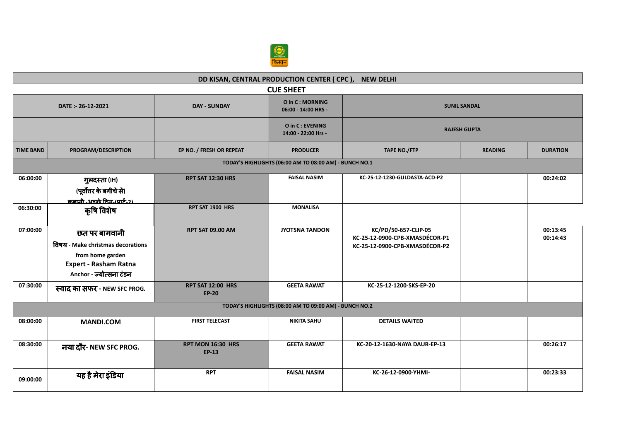

## **DD KISAN, CENTRAL PRODUCTION CENTER ( CPC ), NEW DELHI CUE SHEET DATE :- 26-12-2021 DAY - SUNDAY O in C : MORNING 06:00 - 14:00 HRS - SUNIL SANDAL O in C : EVENING 14:00 - 22:00 Hrs - RAJESH GUPTA TIME BAND PROGRAM/DESCRIPTION EP NO. / FRESH OR REPEAT PRODUCER TAPE NO./FTP READING DURATION TODAY'S HIGHLIGHTS (06:00 AM TO 08:00 AM) - BUNCH NO.1 06:00:00** गुलदèता **(IH) (**पूवȾƣर केबगीचेसे**)** <u>िकहानी -अच्छे टिन्न-(पार्ट-२)</u><br>कृषि विशेष **RPT SAT 12:30 HRS FAISAL NASIM KC-25-12-1230-GULDASTA-ACD-P2 00:24:02** 06:30:00 <mark>কৃ মি বিখা স্বাসী বা সাম</mark>্লাল সম্পৰ্ক সম্পৰ্ক সম্পৰ্ক সম্পৰ্ক সম্পৰ্ক সম্পৰ্ক সম্পৰ্ক সম্পৰ্ক সম্পৰ্ক<br>বিষয়া সম্পৰ্ক সম্পৰ্ক সম্পৰ্ক সম্পৰ্ক সম্পৰ্ক সম্পৰ্ক সম্পৰ্ক সম্পৰ্ক সম্পৰ্ক সম্পৰ্ক সম্পৰ্ক সম্পৰ্ক সম্পৰ **07:00:00** छत पर बागवानी ͪवषय **- Make christmas decorations from home garden Expert - Rasham Ratna Anchor -** Ïयो×सना टंडन **RPT SAT 09.00 AM JYOTSNA TANDON KC/PD/50-657-CLIP-05 KC-25-12-0900-CPB-XMASDÉCOR-P1 KC-25-12-0900-CPB-XMASDÉCOR-P2 00:13:45 00:14:43 07:30:00** èवाद का सफर **- NEW SFC PROG. RPT SAT 12:00 HRS EP-20 GEETA RAWAT KC-25-12-1200-SKS-EP-20 TODAY'S HIGHLIGHTS (08:00 AM TO 09:00 AM) - BUNCH NO.2 08:00:00 MANDI.COM FIRST TELECAST NIKITA SAHU DETAILS WAITED 08:30:00** नया दौर**- NEW SFC PROG. RPT MON 16:30 HRS EP-13 GEETA RAWAT KC-20-12-1630-NAYA DAUR-EP-13 00:26:17 09:00:00** यह हैमेरा इंͫडया **RPT FAISAL NASIM KC-26-12-0900-YHMI- 00:23:33**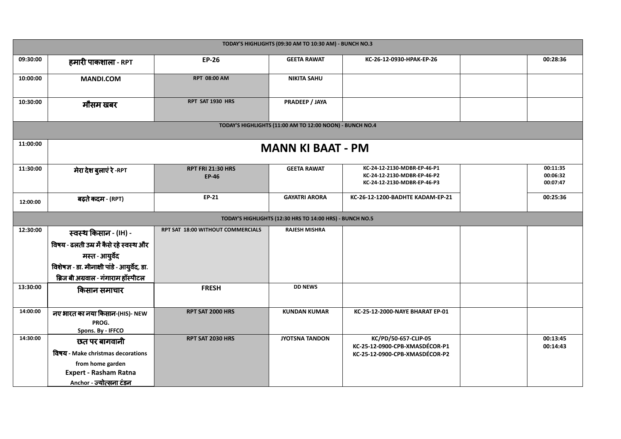| TODAY'S HIGHLIGHTS (09:30 AM TO 10:30 AM) - BUNCH NO.3   |                                                  |                                          |                                                          |                                                                                           |  |                                  |  |
|----------------------------------------------------------|--------------------------------------------------|------------------------------------------|----------------------------------------------------------|-------------------------------------------------------------------------------------------|--|----------------------------------|--|
| 09:30:00                                                 | हमारी पाकशाला - RPT                              | <b>EP-26</b>                             | <b>GEETA RAWAT</b>                                       | KC-26-12-0930-HPAK-EP-26                                                                  |  | 00:28:36                         |  |
| 10:00:00                                                 | <b>MANDI.COM</b>                                 | <b>RPT 08:00 AM</b>                      | <b>NIKITA SAHU</b>                                       |                                                                                           |  |                                  |  |
| 10:30:00                                                 | मौसम खबर                                         | RPT SAT 1930 HRS                         | PRADEEP / JAYA                                           |                                                                                           |  |                                  |  |
|                                                          |                                                  |                                          | TODAY'S HIGHLIGHTS (11:00 AM TO 12:00 NOON) - BUNCH NO.4 |                                                                                           |  |                                  |  |
| 11:00:00                                                 | <b>MANN KI BAAT - PM</b>                         |                                          |                                                          |                                                                                           |  |                                  |  |
| 11:30:00                                                 | मेरा देश बुलाएं रे -RPT                          | <b>RPT FRI 21:30 HRS</b><br><b>EP-46</b> | <b>GEETA RAWAT</b>                                       | KC-24-12-2130-MDBR-EP-46-P1<br>KC-24-12-2130-MDBR-EP-46-P2<br>KC-24-12-2130-MDBR-EP-46-P3 |  | 00:11:35<br>00:06:32<br>00:07:47 |  |
| 12:00:00                                                 | बढ़ते कदम - (RPT)                                | <b>EP-21</b>                             | <b>GAYATRI ARORA</b>                                     | KC-26-12-1200-BADHTE KADAM-EP-21                                                          |  | 00:25:36                         |  |
| TODAY'S HIGHLIGHTS (12:30 HRS TO 14:00 HRS) - BUNCH NO.5 |                                                  |                                          |                                                          |                                                                                           |  |                                  |  |
|                                                          |                                                  |                                          |                                                          |                                                                                           |  |                                  |  |
| 12:30:00                                                 | स्वस्थ किसान - (IH) -                            | RPT SAT 18:00 WITHOUT COMMERCIALS        | <b>RAJESH MISHRA</b>                                     |                                                                                           |  |                                  |  |
|                                                          | विषय - ढलती उम्र में कैसे रहे स्वस्थ और          |                                          |                                                          |                                                                                           |  |                                  |  |
|                                                          | मस्त - आयुर्वेद                                  |                                          |                                                          |                                                                                           |  |                                  |  |
|                                                          | विशेषज्ञ - डा. मीनाक्षी पांडे - आयुर्वेद, डा.    |                                          |                                                          |                                                                                           |  |                                  |  |
|                                                          | ब्रिज बी अग्रवाल - गंगाराम हॉस्पीटल              |                                          |                                                          |                                                                                           |  |                                  |  |
| 13:30:00                                                 | किसान समाचार                                     | <b>FRESH</b>                             | <b>DD NEWS</b>                                           |                                                                                           |  |                                  |  |
| 14:00:00                                                 | नए भारत का नया किसान-(HIS)- NEW                  | RPT SAT 2000 HRS                         | <b>KUNDAN KUMAR</b>                                      | KC-25-12-2000-NAYE BHARAT EP-01                                                           |  |                                  |  |
|                                                          | PROG.                                            |                                          |                                                          |                                                                                           |  |                                  |  |
| 14:30:00                                                 | Spons. By - IFFCO<br>छत पर बागवानी               | RPT SAT 2030 HRS                         | <b>JYOTSNA TANDON</b>                                    | KC/PD/50-657-CLIP-05                                                                      |  | 00:13:45                         |  |
|                                                          | विषय - Make christmas decorations                |                                          |                                                          | KC-25-12-0900-CPB-XMASDÉCOR-P1                                                            |  | 00:14:43                         |  |
|                                                          |                                                  |                                          |                                                          | KC-25-12-0900-CPB-XMASDÉCOR-P2                                                            |  |                                  |  |
|                                                          | from home garden<br><b>Expert - Rasham Ratna</b> |                                          |                                                          |                                                                                           |  |                                  |  |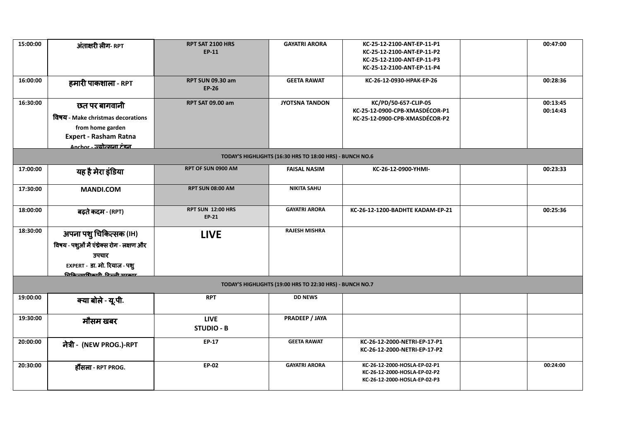| 15:00:00                                                 | अंताक्षरी लीग- RPT                                                                                                                                  | RPT SAT 2100 HRS<br><b>EP-11</b>        | <b>GAYATRI ARORA</b>                                     | KC-25-12-2100-ANT-EP-11-P1<br>KC-25-12-2100-ANT-EP-11-P2<br>KC-25-12-2100-ANT-EP-11-P3<br>KC-25-12-2100-ANT-EP-11-P4 |  | 00:47:00             |
|----------------------------------------------------------|-----------------------------------------------------------------------------------------------------------------------------------------------------|-----------------------------------------|----------------------------------------------------------|----------------------------------------------------------------------------------------------------------------------|--|----------------------|
| 16:00:00                                                 | हमारी पाकशाला - RPT                                                                                                                                 | <b>RPT SUN 09.30 am</b><br><b>EP-26</b> | <b>GEETA RAWAT</b>                                       | KC-26-12-0930-HPAK-EP-26                                                                                             |  | 00:28:36             |
| 16:30:00                                                 | छत पर बागवानी<br>विषय - Make christmas decorations<br>from home garden<br><b>Expert - Rasham Ratna</b><br><u> Anchor - ज्योत्सना टंडन </u>          | <b>RPT SAT 09.00 am</b>                 | <b>JYOTSNA TANDON</b>                                    | KC/PD/50-657-CLIP-05<br>KC-25-12-0900-CPB-XMASDÉCOR-P1<br>KC-25-12-0900-CPB-XMASDÉCOR-P2                             |  | 00:13:45<br>00:14:43 |
|                                                          |                                                                                                                                                     |                                         | TODAY'S HIGHLIGHTS (16:30 HRS TO 18:00 HRS) - BUNCH NO.6 |                                                                                                                      |  |                      |
| 17:00:00                                                 | यह है मेरा इंडिया                                                                                                                                   | RPT OF SUN 0900 AM                      | <b>FAISAL NASIM</b>                                      | KC-26-12-0900-YHMI-                                                                                                  |  | 00:23:33             |
| 17:30:00                                                 | <b>MANDI.COM</b>                                                                                                                                    | <b>RPT SUN 08:00 AM</b>                 | <b>NIKITA SAHU</b>                                       |                                                                                                                      |  |                      |
| 18:00:00                                                 | बढ़ते कदम - (RPT)                                                                                                                                   | <b>RPT SUN 12:00 HRS</b><br>EP-21       | <b>GAYATRI ARORA</b>                                     | KC-26-12-1200-BADHTE KADAM-EP-21                                                                                     |  | 00:25:36             |
| 18:30:00                                                 | अपना पशु चिकित्सक (IH)<br>विषय - पशुओं में एंथ्रेक्स रोग - लक्षण और<br>उपचार<br>EXPERT - डा. मो. रियाज - पशु<br><u>निकि माधिकारी, विस्की मास्ता</u> | <b>LIVE</b>                             | <b>RAJESH MISHRA</b>                                     |                                                                                                                      |  |                      |
| TODAY'S HIGHLIGHTS (19:00 HRS TO 22:30 HRS) - BUNCH NO.7 |                                                                                                                                                     |                                         |                                                          |                                                                                                                      |  |                      |
| 19:00:00                                                 | क्या बोले - यू.पी.                                                                                                                                  | <b>RPT</b>                              | <b>DD NEWS</b>                                           |                                                                                                                      |  |                      |
| 19:30:00                                                 | मौसम खबर                                                                                                                                            | <b>LIVE</b><br><b>STUDIO - B</b>        | <b>PRADEEP / JAYA</b>                                    |                                                                                                                      |  |                      |
| 20:00:00                                                 | नेत्री - (NEW PROG.)-RPT                                                                                                                            | <b>EP-17</b>                            | <b>GEETA RAWAT</b>                                       | KC-26-12-2000-NETRI-EP-17-P1<br>KC-26-12-2000-NETRI-EP-17-P2                                                         |  |                      |
| 20:30:00                                                 | हौँसला - RPT PROG.                                                                                                                                  | EP-02                                   | <b>GAYATRI ARORA</b>                                     | KC-26-12-2000-HOSLA-EP-02-P1<br>KC-26-12-2000-HOSLA-EP-02-P2<br>KC-26-12-2000-HOSLA-EP-02-P3                         |  | 00:24:00             |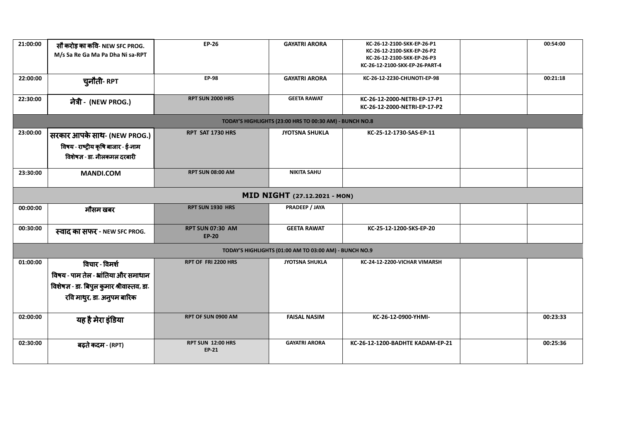| 21:00:00<br>22:00:00                                   | सौ करोड़ का कवि-NEW SFC PROG.<br>M/s Sa Re Ga Ma Pa Dha Ni sa-RPT                                  | <b>EP-26</b><br><b>EP-98</b>             | <b>GAYATRI ARORA</b><br><b>GAYATRI ARORA</b>            | KC-26-12-2100-SKK-EP-26-P1<br>KC-26-12-2100-SKK-EP-26-P2<br>KC-26-12-2100-SKK-EP-26-P3<br>KC-26-12-2100-SKK-EP-26-PART-4<br>KC-26-12-2230-CHUNOTI-EP-98 |  | 00:54:00<br>00:21:18 |
|--------------------------------------------------------|----------------------------------------------------------------------------------------------------|------------------------------------------|---------------------------------------------------------|---------------------------------------------------------------------------------------------------------------------------------------------------------|--|----------------------|
|                                                        | चुनौती- RPT                                                                                        |                                          |                                                         |                                                                                                                                                         |  |                      |
| 22:30:00                                               | नेत्री - (NEW PROG.)                                                                               | <b>RPT SUN 2000 HRS</b>                  | <b>GEETA RAWAT</b>                                      | KC-26-12-2000-NETRI-EP-17-P1<br>KC-26-12-2000-NETRI-EP-17-P2                                                                                            |  |                      |
|                                                        |                                                                                                    |                                          | TODAY'S HIGHLIGHTS (23:00 HRS TO 00:30 AM) - BUNCH NO.8 |                                                                                                                                                         |  |                      |
| 23:00:00                                               | सरकार आपके साथ- (NEW PROG.)<br>विषय - राष्ट्रीय कृषि बाजार - ई-नाम<br>विशेषज्ञ - डा. नीलकमल दरबारी | RPT SAT 1730 HRS                         | <b>JYOTSNA SHUKLA</b>                                   | KC-25-12-1730-SAS-EP-11                                                                                                                                 |  |                      |
| 23:30:00                                               | <b>MANDI.COM</b>                                                                                   | <b>RPT SUN 08:00 AM</b>                  | <b>NIKITA SAHU</b>                                      |                                                                                                                                                         |  |                      |
| MID NIGHT (27.12.2021 - MON)                           |                                                                                                    |                                          |                                                         |                                                                                                                                                         |  |                      |
| 00:00:00                                               | मौसम खबर                                                                                           | <b>RPT SUN 1930 HRS</b>                  | PRADEEP / JAYA                                          |                                                                                                                                                         |  |                      |
| 00:30:00                                               | स्वाद का सफर - NEW SFC PROG.                                                                       | <b>RPT SUN 07:30 AM</b><br><b>EP-20</b>  | <b>GEETA RAWAT</b>                                      | KC-25-12-1200-SKS-EP-20                                                                                                                                 |  |                      |
| TODAY'S HIGHLIGHTS (01:00 AM TO 03:00 AM) - BUNCH NO.9 |                                                                                                    |                                          |                                                         |                                                                                                                                                         |  |                      |
| 01:00:00                                               | विचार - विमर्श                                                                                     | RPT OF FRI 2200 HRS                      | <b>JYOTSNA SHUKLA</b>                                   | KC-24-12-2200-VICHAR VIMARSH                                                                                                                            |  |                      |
|                                                        | विषय - पाम तेल - भ्रांतिया और समाधान                                                               |                                          |                                                         |                                                                                                                                                         |  |                      |
|                                                        | विशेषज्ञ - डा. बिपुल कुमार श्रीवास्तव, डा.                                                         |                                          |                                                         |                                                                                                                                                         |  |                      |
|                                                        | रवि माथुर, डा. अनुपम बारिक                                                                         |                                          |                                                         |                                                                                                                                                         |  |                      |
| 02:00:00                                               | यह है मेरा इंडिया                                                                                  | RPT OF SUN 0900 AM                       | <b>FAISAL NASIM</b>                                     | KC-26-12-0900-YHMI-                                                                                                                                     |  | 00:23:33             |
| 02:30:00                                               | बढ़ते कदम - (RPT)                                                                                  | <b>RPT SUN 12:00 HRS</b><br><b>EP-21</b> | <b>GAYATRI ARORA</b>                                    | KC-26-12-1200-BADHTE KADAM-EP-21                                                                                                                        |  | 00:25:36             |